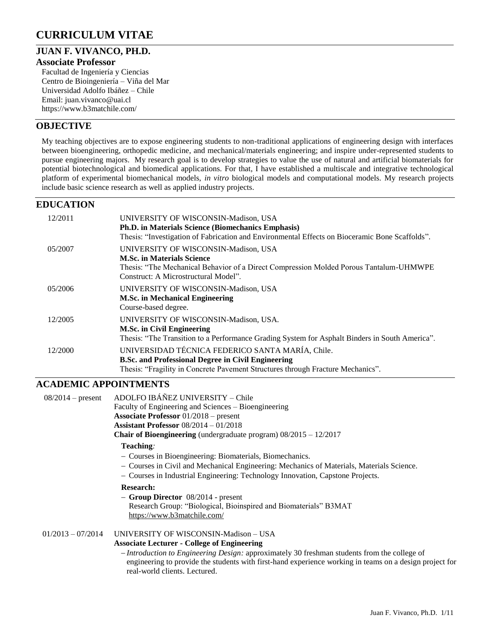# **CURRICULUM VITAE**

## **JUAN F. VIVANCO, PH.D.**

#### **Associate Professor**

Facultad de Ingeniería y Ciencias Centro de Bioingeniería – Viña del Mar Universidad Adolfo Ibáñez – Chile Email: [juan.vivanco@uai.cl](mailto:juan.vivanco@uai.cl) <https://www.b3matchile.com/>

### **OBJECTIVE**

My teaching objectives are to expose engineering students to non-traditional applications of engineering design with interfaces between bioengineering, orthopedic medicine, and mechanical/materials engineering; and inspire under-represented students to pursue engineering majors. My research goal is to develop strategies to value the use of natural and artificial biomaterials for potential biotechnological and biomedical applications. For that, I have established a multiscale and integrative technological platform of experimental biomechanical models, *in vitro* biological models and computational models. My research projects include basic science research as well as applied industry projects.

## **EDUCATION**

| 12/2011 | UNIVERSITY OF WISCONSIN-Madison, USA<br><b>Ph.D. in Materials Science (Biomechanics Emphasis)</b><br>Thesis: "Investigation of Fabrication and Environmental Effects on Bioceramic Bone Scaffolds".         |
|---------|-------------------------------------------------------------------------------------------------------------------------------------------------------------------------------------------------------------|
| 05/2007 | UNIVERSITY OF WISCONSIN-Madison, USA<br><b>M.Sc. in Materials Science</b><br>Thesis: "The Mechanical Behavior of a Direct Compression Molded Porous Tantalum-UHMWPE<br>Construct: A Microstructural Model". |
| 05/2006 | UNIVERSITY OF WISCONSIN-Madison, USA<br><b>M.Sc. in Mechanical Engineering</b><br>Course-based degree.                                                                                                      |
| 12/2005 | UNIVERSITY OF WISCONSIN-Madison, USA.<br><b>M.Sc. in Civil Engineering</b><br>Thesis: "The Transition to a Performance Grading System for Asphalt Binders in South America".                                |
| 12/2000 | UNIVERSIDAD TÉCNICA FEDERICO SANTA MARÍA, Chile.<br><b>B.Sc. and Professional Degree in Civil Engineering</b><br>Thesis: "Fragility in Concrete Pavement Structures through Fracture Mechanics".            |

## **ACADEMIC APPOINTMENTS**

| $08/2014$ – present | ADOLFO IBÁÑEZ UNIVERSITY – Chile                                                                        |
|---------------------|---------------------------------------------------------------------------------------------------------|
|                     | Faculty of Engineering and Sciences – Bioengineering                                                    |
|                     | <b>Associate Professor</b> 01/2018 – present                                                            |
|                     | Assistant Professor $08/2014 - 01/2018$                                                                 |
|                     | <b>Chair of Bioengineering</b> (undergraduate program) $08/2015 - 12/2017$                              |
|                     | Teaching:                                                                                               |
|                     | - Courses in Bioengineering: Biomaterials, Biomechanics.                                                |
|                     | - Courses in Civil and Mechanical Engineering: Mechanics of Materials, Materials Science.               |
|                     | - Courses in Industrial Engineering: Technology Innovation, Capstone Projects.                          |
|                     | <b>Research:</b>                                                                                        |
|                     | $-$ Group Director $08/2014$ - present                                                                  |
|                     | Research Group: "Biological, Bioinspired and Biomaterials" B3MAT                                        |
|                     | https://www.b3matchile.com/                                                                             |
| $01/2013 - 07/2014$ | UNIVERSITY OF WISCONSIN-Madison - USA                                                                   |
|                     | <b>Associate Lecturer - College of Engineering</b>                                                      |
|                     |                                                                                                         |
|                     | - Introduction to Engineering Design: approximately 30 freshman students from the college of            |
|                     | engineering to provide the students with first-hand experience working in teams on a design project for |
|                     | real-world clients. Lectured.                                                                           |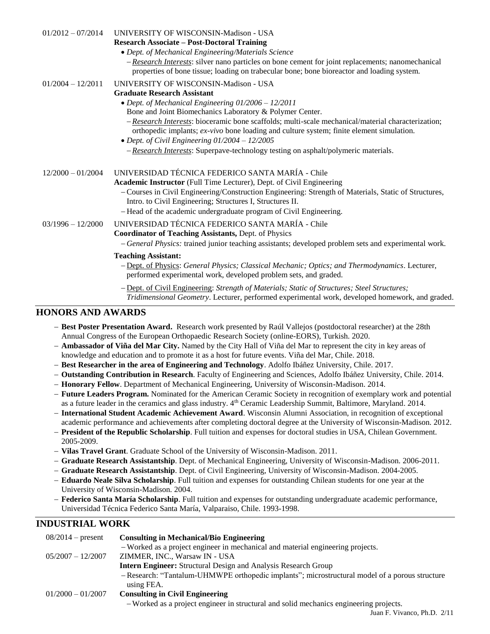| $01/2012 - 07/2014$ | <b>UNIVERSITY OF WISCONSIN-Madison - USA</b>                                                                                                                                                             |
|---------------------|----------------------------------------------------------------------------------------------------------------------------------------------------------------------------------------------------------|
|                     | <b>Research Associate - Post-Doctoral Training</b>                                                                                                                                                       |
|                     | • Dept. of Mechanical Engineering/Materials Science                                                                                                                                                      |
|                     | $-$ <i>Research Interests:</i> silver nano particles on bone cement for joint replacements; nanomechanical<br>properties of bone tissue; loading on trabecular bone; bone bioreactor and loading system. |
| $01/2004 - 12/2011$ | UNIVERSITY OF WISCONSIN-Madison - USA                                                                                                                                                                    |
|                     | <b>Graduate Research Assistant</b>                                                                                                                                                                       |
|                     | • Dept. of Mechanical Engineering 01/2006 - 12/2011                                                                                                                                                      |
|                     | Bone and Joint Biomechanics Laboratory & Polymer Center.                                                                                                                                                 |
|                     | $-$ <i>Research Interests:</i> bioceramic bone scaffolds; multi-scale mechanical/material characterization;<br>orthopedic implants; ex-vivo bone loading and culture system; finite element simulation.  |
|                     | • Dept. of Civil Engineering $01/2004 - 12/2005$                                                                                                                                                         |
|                     | - Research Interests: Superpave-technology testing on asphalt/polymeric materials.                                                                                                                       |
| $12/2000 - 01/2004$ | UNIVERSIDAD TÉCNICA FEDERICO SANTA MARÍA - Chile                                                                                                                                                         |
|                     | Academic Instructor (Full Time Lecturer), Dept. of Civil Engineering                                                                                                                                     |
|                     | - Courses in Civil Engineering/Construction Engineering: Strength of Materials, Static of Structures,<br>Intro. to Civil Engineering; Structures I, Structures II.                                       |
|                     | - Head of the academic undergraduate program of Civil Engineering.                                                                                                                                       |
| $03/1996 - 12/2000$ | UNIVERSIDAD TÉCNICA FEDERICO SANTA MARÍA - Chile                                                                                                                                                         |
|                     | <b>Coordinator of Teaching Assistants, Dept. of Physics</b>                                                                                                                                              |
|                     | - General Physics: trained junior teaching assistants; developed problem sets and experimental work.                                                                                                     |
|                     | <b>Teaching Assistant:</b>                                                                                                                                                                               |
|                     | - Dept. of Physics: General Physics; Classical Mechanic; Optics; and Thermodynamics. Lecturer,<br>performed experimental work, developed problem sets, and graded.                                       |
|                     | - Dept. of Civil Engineering: Strength of Materials; Static of Structures; Steel Structures;<br>Tridimensional Geometry. Lecturer, performed experimental work, developed homework, and graded.          |

## **HONORS AND AWARDS**

- **Best Poster Presentation Award.** Research work presented by Raúl Vallejos (postdoctoral researcher) at the 28th Annual Congress of the European Orthopaedic Research Society (online-EORS), Turkish. 2020.
- **Ambassador of Viña del Mar City.** Named by the City Hall of Viña del Mar to represent the city in key areas of knowledge and education and to promote it as a host for future events. Viña del Mar, Chile. 2018.
- **Best Researcher in the area of Engineering and Technology**. Adolfo Ibáñez University, Chile. 2017.
- **Outstanding Contribution in Research**. Faculty of Engineering and Sciences, Adolfo Ibáñez University, Chile. 2014.
- **Honorary Fellow**. Department of Mechanical Engineering, University of Wisconsin-Madison. 2014.
- **Future Leaders Program.** Nominated for the American Ceramic Society in recognition of exemplary work and potential as a future leader in the ceramics and glass industry. 4<sup>th</sup> Ceramic Leadership Summit, Baltimore, Maryland. 2014.
- **International Student Academic Achievement Award**. Wisconsin Alumni Association, in recognition of exceptional academic performance and achievements after completing doctoral degree at the University of Wisconsin-Madison. 2012.
- **President of the Republic Scholarship**. Full tuition and expenses for doctoral studies in USA, Chilean Government. 2005-2009.
- **Vilas Travel Grant**. Graduate School of the University of Wisconsin-Madison. 2011.
- **Graduate Research Assistantship**. Dept. of Mechanical Engineering, University of Wisconsin-Madison. 2006-2011.
- **Graduate Research Assistantship**. Dept. of Civil Engineering, University of Wisconsin-Madison. 2004-2005.
- **Eduardo Neale Silva Scholarship**. Full tuition and expenses for outstanding Chilean students for one year at the University of Wisconsin-Madison. 2004.
- **Federico Santa María Scholarship**. Full tuition and expenses for outstanding undergraduate academic performance, Universidad Técnica Federico Santa María, Valparaiso, Chile. 1993-1998.

## **INDUSTRIAL WORK**

| $08/2014$ – present | Consulting in Mechanical/Bio Engineering                                                       |
|---------------------|------------------------------------------------------------------------------------------------|
|                     | - Worked as a project engineer in mechanical and material engineering projects.                |
| $05/2007 - 12/2007$ | ZIMMER, INC., Warsaw IN - USA                                                                  |
|                     | <b>Intern Engineer:</b> Structural Design and Analysis Research Group                          |
|                     | - Research: "Tantalum-UHMWPE orthopedic implants"; microstructural model of a porous structure |
|                     | using FEA.                                                                                     |
| $01/2000 - 01/2007$ | <b>Consulting in Civil Engineering</b>                                                         |
|                     | - Worked as a project engineer in structural and solid mechanics engineering projects.         |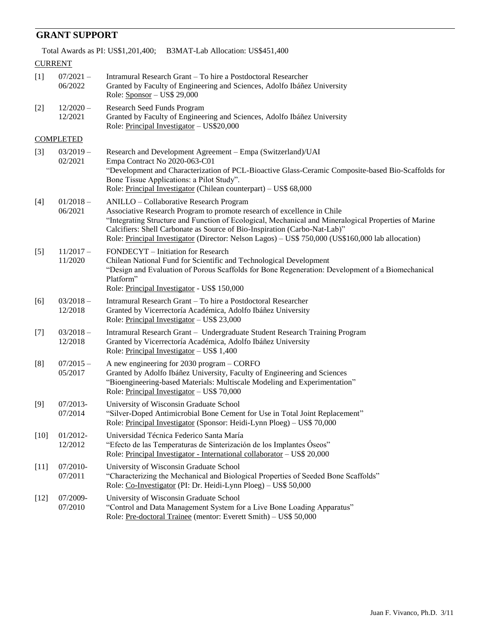## **GRANT SUPPORT**

Total Awards as PI: US\$1,201,400; B3MAT-Lab Allocation: US\$451,400

|        | <b>CURRENT</b>         |                                                                                                                                                                                                                                                                                                                                                                                                              |
|--------|------------------------|--------------------------------------------------------------------------------------------------------------------------------------------------------------------------------------------------------------------------------------------------------------------------------------------------------------------------------------------------------------------------------------------------------------|
| $[1]$  | $07/2021 -$<br>06/2022 | Intramural Research Grant – To hire a Postdoctoral Researcher<br>Granted by Faculty of Engineering and Sciences, Adolfo Ibáñez University<br>Role: $S_{PONSOT}$ – US\$ 29,000                                                                                                                                                                                                                                |
| $[2]$  | $12/2020 -$<br>12/2021 | Research Seed Funds Program<br>Granted by Faculty of Engineering and Sciences, Adolfo Ibáñez University<br>Role: Principal Investigator - US\$20,000                                                                                                                                                                                                                                                         |
|        | <b>COMPLETED</b>       |                                                                                                                                                                                                                                                                                                                                                                                                              |
| $[3]$  | $03/2019 -$<br>02/2021 | Research and Development Agreement - Empa (Switzerland)/UAI<br>Empa Contract No 2020-063-C01<br>"Development and Characterization of PCL-Bioactive Glass-Ceramic Composite-based Bio-Scaffolds for<br>Bone Tissue Applications: a Pilot Study".<br>Role: Principal Investigator (Chilean counterpart) – US\$ 68,000                                                                                          |
| $[4]$  | $01/2018 -$<br>06/2021 | ANILLO - Collaborative Research Program<br>Associative Research Program to promote research of excellence in Chile<br>"Integrating Structure and Function of Ecological, Mechanical and Mineralogical Properties of Marine<br>Calcifiers: Shell Carbonate as Source of Bio-Inspiration (Carbo-Nat-Lab)"<br>Role: Principal Investigator (Director: Nelson Lagos) - US\$ 750,000 (US\$160,000 lab allocation) |
| $[5]$  | $11/2017 -$<br>11/2020 | FONDECYT – Initiation for Research<br>Chilean National Fund for Scientific and Technological Development<br>"Design and Evaluation of Porous Scaffolds for Bone Regeneration: Development of a Biomechanical<br>Platform"<br>Role: Principal Investigator - US\$ 150,000                                                                                                                                     |
| [6]    | $03/2018 -$<br>12/2018 | Intramural Research Grant – To hire a Postdoctoral Researcher<br>Granted by Vicerrectoría Académica, Adolfo Ibáñez University<br>Role: Principal Investigator – US\$ 23,000                                                                                                                                                                                                                                  |
| $[7]$  | $03/2018 -$<br>12/2018 | Intramural Research Grant - Undergraduate Student Research Training Program<br>Granted by Vicerrectoría Académica, Adolfo Ibáñez University<br>Role: Principal Investigator – US\$ 1,400                                                                                                                                                                                                                     |
| [8]    | $07/2015 -$<br>05/2017 | A new engineering for $2030$ program $-$ CORFO<br>Granted by Adolfo Ibáñez University, Faculty of Engineering and Sciences<br>"Bioengineering-based Materials: Multiscale Modeling and Experimentation"<br>Role: Principal Investigator - US\$ 70,000                                                                                                                                                        |
| [9]    | $07/2013-$<br>07/2014  | University of Wisconsin Graduate School<br>"Silver-Doped Antimicrobial Bone Cement for Use in Total Joint Replacement"<br>Role: Principal Investigator (Sponsor: Heidi-Lynn Ploeg) – US\$ 70,000                                                                                                                                                                                                             |
| $[10]$ | 01/2012-<br>12/2012    | Universidad Técnica Federico Santa María<br>"Efecto de las Temperaturas de Sinterización de los Implantes Óseos"<br>Role: Principal Investigator - International collaborator - US\$ 20,000                                                                                                                                                                                                                  |
| $[11]$ | 07/2010-<br>07/2011    | University of Wisconsin Graduate School<br>"Characterizing the Mechanical and Biological Properties of Seeded Bone Scaffolds"<br>Role: Co-Investigator (PI: Dr. Heidi-Lynn Ploeg) – US\$ 50,000                                                                                                                                                                                                              |
| $[12]$ | 07/2009-<br>07/2010    | University of Wisconsin Graduate School<br>"Control and Data Management System for a Live Bone Loading Apparatus"<br>Role: Pre-doctoral Trainee (mentor: Everett Smith) - US\$ 50,000                                                                                                                                                                                                                        |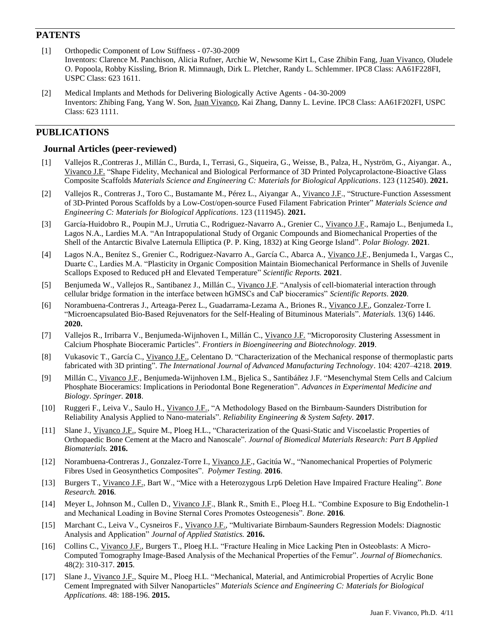## **PATENTS**

- [1] Orthopedic Component of Low Stiffness 07-30-2009 Inventors: [Clarence M. Panchison,](http://www.faqs.org/patents/inv/174728) [Alicia Rufner,](http://www.faqs.org/patents/inv/242283) [Archie W, Newsome](http://www.faqs.org/patents/inv/340898) [Kirt L, Case](http://www.faqs.org/patents/inv/418653) [Zhibin Fang,](http://www.faqs.org/patents/inv/498124) [Juan Vivanco,](http://www.faqs.org/patents/inv/498126) [Oludele](http://www.faqs.org/patents/inv/517833)  [O. Popoola,](http://www.faqs.org/patents/inv/517833) [Robby Kissling,](http://www.faqs.org/patents/inv/615666) [Brion R. Mimnaugh,](http://www.faqs.org/patents/inv/615667) [Dirk L. Pletcher,](http://www.faqs.org/patents/inv/615668) [Randy L. Schlemmer.](http://www.faqs.org/patents/inv/615669) IPC8 Class: AA61F228FI, USPC Class: 623 1611.
- [2] Medical Implants and Methods for Delivering Biologically Active Agents 04-30-2009 Inventors: Zhibing Fang, Yang W. Son, Juan Vivanco, Kai Zhang, Danny L. Levine. IPC8 Class: AA61F202FI, USPC Class: 623 1111.

## **PUBLICATIONS**

#### **Journal Articles (peer-reviewed)**

- [1] Vallejos R.,Contreras J., Millán C., Burda, I., Terrasi, G., Siqueira, G., Weisse, B., Palza, H., Nyström, G., Aiyangar. A., Vivanco J.F. "Shape Fidelity, Mechanical and Biological Performance of 3D Printed Polycaprolactone-Bioactive Glass Composite Scaffolds *Materials Science and Engineering C: Materials for Biological Applications*. 123 (112540). **2021.**
- [2] Vallejos R., Contreras J., Toro C., Bustamante M., Pérez L., Aiyangar A., Vivanco J.F., "Structure-Function Assessment of 3D-Printed Porous Scaffolds by a Low-Cost/open-source Fused Filament Fabrication Printer" *Materials Science and Engineering C: Materials for Biological Applications*. 123 (111945). **2021.**
- [3] García-Huidobro R., Poupin M.J., Urrutia C., Rodriguez-Navarro A., Grenier C., Vivanco J.F., Ramajo L., Benjumeda I., Lagos N.A., Lardies M.A. "An Intrapopulational Study of Organic Compounds and Biomechanical Properties of the Shell of the Antarctic Bivalve Laternula Elliptica (P. P. King, 1832) at King George Island". *Polar Biology.* **2021**.
- [4] Lagos N.A., Benítez S., Grenier C., Rodriguez-Navarro A., García C., Abarca A., Vivanco J.F., Benjumeda I., Vargas C., Duarte C., Lardies M.A. "Plasticity in Organic Composition Maintain Biomechanical Performance in Shells of Juvenile Scallops Exposed to Reduced pH and Elevated Temperature" *Scientific Reports.* **2021**.
- [5] Benjumeda W., Vallejos R., Santibanez J., Millán C., Vivanco J.F. "Analysis of cell-biomaterial interaction through cellular bridge formation in the interface between hGMSCs and CaP bioceramics" *Scientific Reports*. **2020**.
- [6] Norambuena-Contreras J., Arteaga-Perez L., Guadarrama-Lezama A., Briones R., Vivanco J.F., Gonzalez-Torre I. "Microencapsulated Bio-Based Rejuvenators for the Self-Healing of Bituminous Materials". *Materials.* 13(6) 1446. **2020.**
- [7] Vallejos R., Irribarra V., Benjumeda-Wijnhoven I., Millán C., Vivanco J.F. "Microporosity Clustering Assessment in Calcium Phosphate Bioceramic Particles". *Frontiers in Bioengineering and Biotechnology.* **2019**.
- [8] Vukasovic T., García C., Vivanco J.F., Celentano D. "Characterization of the Mechanical response of thermoplastic parts fabricated with 3D printing". *The International Journal of Advanced Manufacturing Technology*. 104: 4207–4218. **2019**.
- [9] Millán C., Vivanco J.F., Benjumeda-Wijnhoven I.M., Bjelica S., Santibáñez J.F. "Mesenchymal Stem Cells and Calcium Phosphate Bioceramics: Implications in Periodontal Bone Regeneration". *Advances in Experimental Medicine and Biology*. *Springer.* **2018**.
- [10] Ruggeri F., Leiva V., Saulo H., Vivanco J.F., "A Methodology Based on the Birnbaum-Saunders Distribution for Reliability Analysis Applied to Nano-materials". *Reliability Engineering & System Safety.* **2017**.
- [11] Slane J., Vivanco J.F., Squire M., Ploeg H.L., "Characterization of the Quasi-Static and Viscoelastic Properties of Orthopaedic Bone Cement at the Macro and Nanoscale". *Journal of Biomedical Materials Research: Part B Applied Biomaterials.* **2016.**
- [12] Norambuena-Contreras J., Gonzalez-Torre I., Vivanco J.F., Gacitúa W., "Nanomechanical Properties of Polymeric Fibres Used in Geosynthetics Composites". *Polymer Testing.* **2016**.
- [13] Burgers T., Vivanco J.F., Bart W., "Mice with a Heterozygous Lrp6 Deletion Have Impaired Fracture Healing". *Bone Research.* **2016***.*
- [14] Meyer L, Johnson M., Cullen D., Vivanco J.F., Blank R., Smith E., Ploeg H.L. "Combine Exposure to Big Endothelin-1 and Mechanical Loading in Bovine Sternal Cores Promotes Osteogenesis". *Bone.* **2016***.*
- [15] Marchant C., Leiva V., Cysneiros F., Vivanco J.F., "Multivariate Birnbaum-Saunders Regression Models: Diagnostic Analysis and Application" *Journal of Applied Statistics.* **2016.**
- [16] Collins C., Vivanco J.F., Burgers T., Ploeg H.L. "Fracture Healing in Mice Lacking Pten in Osteoblasts: A Micro-Computed Tomography Image-Based Analysis of the Mechanical Properties of the Femur". *Journal of Biomechanics.*  48(2): 310-317. **2015**.
- [17] Slane J., Vivanco J.F., Squire M., Ploeg H.L. "Mechanical, Material, and Antimicrobial Properties of Acrylic Bone Cement Impregnated with Silver Nanoparticles" *Materials Science and Engineering C: Materials for Biological Applications*. 48: 188-196. **2015.**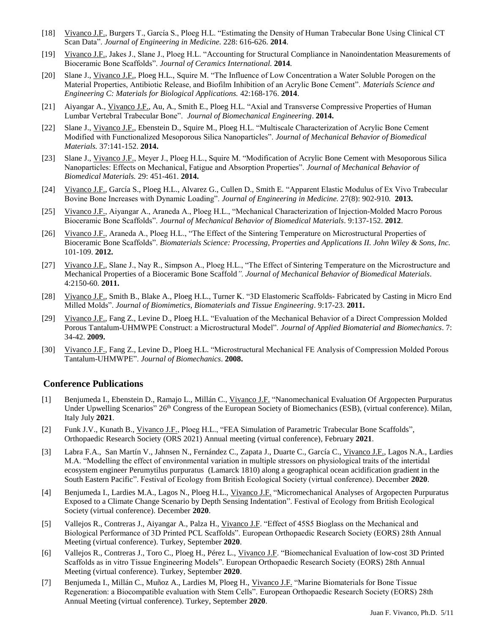- [18] Vivanco J.F., Burgers T., García S., Ploeg H.L. "Estimating the Density of Human Trabecular Bone Using Clinical CT Scan Data". *Journal of Engineering in Medicine.* 228: 616-626. **2014**.
- [19] Vivanco J.F., Jakes J., Slane J., Ploeg H.L. "Accounting for Structural Compliance in Nanoindentation Measurements of Bioceramic Bone Scaffolds". *Journal of Ceramics International.* **2014**.
- [20] Slane J., <u>Vivanco J.F.,</u> Ploeg H.L., Squire M. "The Influence of Low Concentration a Water Soluble Porogen on the Material Properties, Antibiotic Release, and Biofilm Inhibition of an Acrylic Bone Cement". *Materials Science and Engineering C: Materials for Biological Applications.* 42:168-176. **2014**.
- [21] Aiyangar A., Vivanco J.F., Au, A., Smith E., Ploeg H.L. "Axial and Transverse Compressive Properties of Human Lumbar Vertebral Trabecular Bone". *Journal of Biomechanical Engineering*. **2014.**
- [22] Slane J., Vivanco J.F., Ebenstein D., Squire M., Ploeg H.L. "Multiscale Characterization of Acrylic Bone Cement Modified with Functionalized Mesoporous Silica Nanoparticles". *Journal of Mechanical Behavior of Biomedical Materials.* 37:141-152. **2014.**
- [23] Slane J., Vivanco J.F., Meyer J., Ploeg H.L., Squire M. "Modification of Acrylic Bone Cement with Mesoporous Silica Nanoparticles: Effects on Mechanical, Fatigue and Absorption Properties". *Journal of Mechanical Behavior of Biomedical Materials.* 29: 451-461. **2014.**
- [24] Vivanco J.F., García S., Ploeg H.L., Alvarez G., Cullen D., Smith E. "Apparent Elastic Modulus of Ex Vivo Trabecular Bovine Bone Increases with Dynamic Loading". *Journal of Engineering in Medicine.* 27(8): 902-910*.* **2013.**
- [25] Vivanco J.F., Aiyangar A., Araneda A., Ploeg H.L., "Mechanical Characterization of Injection-Molded Macro Porous Bioceramic Bone Scaffolds". *Journal of Mechanical Behavior of Biomedical Materials*. 9:137-152. **2012**.
- [26] Vivanco J.F., Araneda A., Ploeg H.L., "The Effect of the Sintering Temperature on Microstructural Properties of Bioceramic Bone Scaffolds". *Biomaterials Science: Processing, Properties and Applications II. John Wiley & Sons, Inc.*  101-109. **2012.**
- [27] Vivanco J.F., Slane J., Nay R., Simpson A., Ploeg H.L., "The Effect of Sintering Temperature on the Microstructure and Mechanical Properties of a Bioceramic Bone Scaffold*". Journal of Mechanical Behavior of Biomedical Materials*. 4:2150-60. **2011.**
- [28] Vivanco J.F., Smith B., Blake A., Ploeg H.L., Turner K. "3D Elastomeric Scaffolds- Fabricated by Casting in Micro End Milled Molds". *Journal of Biomimetics, Biomaterials and Tissue Engineering*. 9:17-23. **2011.**
- [29] Vivanco J.F., Fang Z., Levine D., Ploeg H.L. "Evaluation of the Mechanical Behavior of a Direct Compression Molded Porous Tantalum-UHMWPE Construct: a Microstructural Model". *Journal of Applied Biomaterial and Biomechanics*. 7: 34-42. **2009.**
- [30] Vivanco J.F., Fang Z., Levine D., Ploeg H.L. "Microstructural Mechanical FE Analysis of Compression Molded Porous Tantalum-UHMWPE". *Journal of Biomechanics*. **2008.**

#### **Conference Publications**

- [1] Benjumeda I., Ebenstein D., Ramajo L., Millán C., Vivanco J.F. "Nanomechanical Evaluation Of Argopecten Purpuratus Under Upwelling Scenarios" 26<sup>th</sup> Congress of the European Society of Biomechanics (ESB), (virtual conference). Milan, Italy July **2021**.
- [2] Funk J.V., Kunath B., Vivanco J.F., Ploeg H.L., "FEA Simulation of Parametric Trabecular Bone Scaffolds", Orthopaedic Research Society (ORS 2021) Annual meeting (virtual conference), February **2021**.
- [3] Labra F.A., San Martín V., Jahnsen N., Fernández C., Zapata J., Duarte C., García C., Vivanco J.F., Lagos N.A., Lardies M.A. "Modelling the effect of environmental variation in multiple stressors on physiological traits of the intertidal ecosystem engineer Perumytilus purpuratus (Lamarck 1810) along a geographical ocean acidification gradient in the South Eastern Pacific". Festival of Ecology from British Ecological Society (virtual conference). December **2020**.
- [4] Benjumeda I., Lardies M.A., Lagos N., Ploeg H.L., Vivanco J.F. "Micromechanical Analyses of Argopecten Purpuratus Exposed to a Climate Change Scenario by Depth Sensing Indentation". Festival of Ecology from British Ecological Society (virtual conference). December **2020**.
- [5] Vallejos R., Contreras J., Aiyangar A., Palza H., Vivanco J.F. "Effect of 45S5 Bioglass on the Mechanical and Biological Performance of 3D Printed PCL Scaffolds". European Orthopaedic Research Society (EORS) 28th Annual Meeting (virtual conference). Turkey, September **2020**.
- [6] Vallejos R., Contreras J., Toro C., Ploeg H., Pérez L., Vivanco J.F. "Biomechanical Evaluation of low-cost 3D Printed Scaffolds as in vitro Tissue Engineering Models". European Orthopaedic Research Society (EORS) 28th Annual Meeting (virtual conference). Turkey, September **2020**.
- [7] Benjumeda I., Millán C., Muñoz A., Lardies M, Ploeg H., Vivanco J.F. "Marine Biomaterials for Bone Tissue Regeneration: a Biocompatible evaluation with Stem Cells". European Orthopaedic Research Society (EORS) 28th Annual Meeting (virtual conference). Turkey, September **2020**.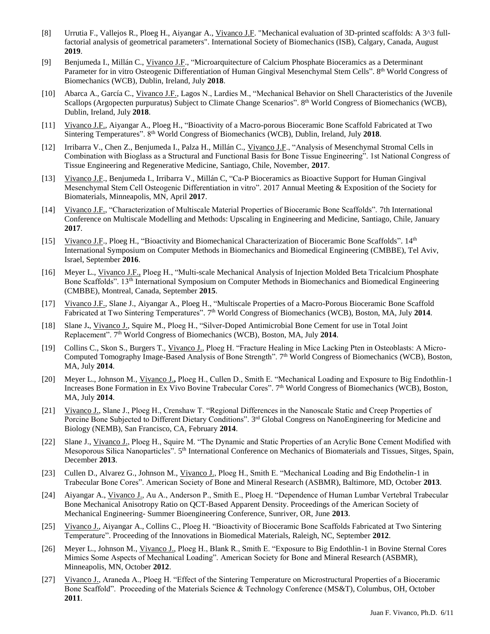- [8] Urrutia F., Vallejos R., Ploeg H., Aiyangar A., Vivanco J.F. "Mechanical evaluation of 3D-printed scaffolds: A 3^3 fullfactorial analysis of geometrical parameters". International Society of Biomechanics (ISB), Calgary, Canada, August **2019**.
- [9] Benjumeda I., Millán C., Vivanco J.F., "Microarquitecture of Calcium Phosphate Bioceramics as a Determinant Parameter for in vitro Osteogenic Differentiation of Human Gingival Mesenchymal Stem Cells". 8<sup>th</sup> World Congress of Biomechanics (WCB), Dublin, Ireland, July **2018**.
- [10] Abarca A., García C., Vivanco J.F., Lagos N., Lardies M., "Mechanical Behavior on Shell Characteristics of the Juvenile Scallops (Argopecten purpuratus) Subject to Climate Change Scenarios". 8<sup>th</sup> World Congress of Biomechanics (WCB), Dublin, Ireland, July **2018**.
- [11] Vivanco J.F., Aiyangar A., Ploeg H., "Bioactivity of a Macro-porous Bioceramic Bone Scaffold Fabricated at Two Sintering Temperatures". 8th World Congress of Biomechanics (WCB), Dublin, Ireland, July **2018**.
- [12] Irribarra V., Chen Z., Benjumeda I., Palza H., Millán C., Vivanco J.F., "Analysis of Mesenchymal Stromal Cells in Combination with Bioglass as a Structural and Functional Basis for Bone Tissue Engineering". 1st National Congress of Tissue Engineering and Regenerative Medicine, Santiago, Chile, November, **2017**.
- [13] Vivanco J.F., Benjumeda I., Irribarra V., Millán C, "Ca-P Bioceramics as Bioactive Support for Human Gingival Mesenchymal Stem Cell Osteogenic Differentiation in vitro". 2017 Annual Meeting & Exposition of the Society for Biomaterials, Minneapolis, MN, April **2017**.
- [14] Vivanco J.F., "Characterization of Multiscale Material Properties of Bioceramic Bone Scaffolds". 7th International Conference on Multiscale Modelling and Methods: Upscaling in Engineering and Medicine, Santiago, Chile, January **2017**.
- [15] Vivanco J.F., Ploeg H., "Bioactivity and Biomechanical Characterization of Bioceramic Bone Scaffolds". 14th International Symposium on Computer Methods in Biomechanics and Biomedical Engineering (CMBBE), Tel Aviv, Israel, September **2016**.
- [16] Meyer L., Vivanco J.F., Ploeg H., "Multi-scale Mechanical Analysis of Injection Molded Beta Tricalcium Phosphate Bone Scaffolds". 13th International Symposium on Computer Methods in Biomechanics and Biomedical Engineering (CMBBE), Montreal, Canada, September **2015**.
- [17] Vivanco J.F., Slane J., Aiyangar A., Ploeg H., "Multiscale Properties of a Macro-Porous Bioceramic Bone Scaffold Fabricated at Two Sintering Temperatures". 7<sup>th</sup> World Congress of Biomechanics (WCB), Boston, MA, July 2014.
- [18] Slane J**.**, Vivanco J., Squire M., Ploeg H., "Silver-Doped Antimicrobial Bone Cement for use in Total Joint Replacement". 7<sup>th</sup> World Congress of Biomechanics (WCB), Boston, MA, July 2014.
- [19] Collins C., Skon S., Burgers T., Vivanco J., Ploeg H. "Fracture Healing in Mice Lacking Pten in Osteoblasts: A Micro-Computed Tomography Image-Based Analysis of Bone Strength". 7<sup>th</sup> World Congress of Biomechanics (WCB), Boston, MA, July **2014**.
- [20] Meyer L., Johnson M., Vivanco J.**,** Ploeg H., Cullen D., Smith E. "Mechanical Loading and Exposure to Big Endothlin-1 Increases Bone Formation in Ex Vivo Bovine Trabecular Cores". 7<sup>th</sup> World Congress of Biomechanics (WCB), Boston, MA, July **2014**.
- [21] Vivanco J., Slane J., Ploeg H., Crenshaw T. "Regional Differences in the Nanoscale Static and Creep Properties of Porcine Bone Subjected to Different Dietary Conditions". 3<sup>rd</sup> Global Congress on NanoEngineering for Medicine and Biology (NEMB), San Francisco, CA, February **2014**.
- [22] Slane J., Vivanco J., Ploeg H., Squire M. "The Dynamic and Static Properties of an Acrylic Bone Cement Modified with Mesoporous Silica Nanoparticles". 5<sup>th</sup> International Conference on Mechanics of Biomaterials and Tissues, Sitges, Spain, December **2013**.
- [23] Cullen D., Alvarez G., Johnson M., Vivanco J., Ploeg H., Smith E. "Mechanical Loading and Big Endothelin-1 in Trabecular Bone Cores". American Society of Bone and Mineral Research (ASBMR), Baltimore, MD, October **2013**.
- [24] Aiyangar A., Vivanco J., Au A., Anderson P., Smith E., Ploeg H. "Dependence of Human Lumbar Vertebral Trabecular Bone Mechanical Anisotropy Ratio on QCT-Based Apparent Density. Proceedings of the American Society of Mechanical Engineering- Summer Bioengineering Conference, Sunriver, OR, June **2013**.
- [25] Vivanco J., Aiyangar A., Collins C., Ploeg H. "Bioactivity of Bioceramic Bone Scaffolds Fabricated at Two Sintering Temperature". Proceeding of the Innovations in Biomedical Materials, Raleigh, NC, September **2012**.
- [26] Meyer L., Johnson M., Vivanco J., Ploeg H., Blank R., Smith E. "Exposure to Big Endothlin-1 in Bovine Sternal Cores Mimics Some Aspects of Mechanical Loading". American Society for Bone and Mineral Research (ASBMR), Minneapolis, MN, October **2012**.
- [27] Vivanco J., Araneda A., Ploeg H. "Effect of the Sintering Temperature on Microstructural Properties of a Bioceramic Bone Scaffold". Proceeding of the Materials Science & Technology Conference (MS&T), Columbus, OH, October **2011**.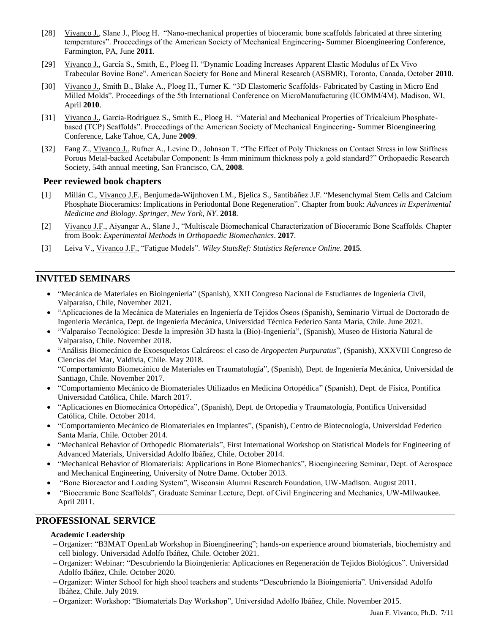- [28] Vivanco J., Slane J., Ploeg H. "Nano-mechanical properties of bioceramic bone scaffolds fabricated at three sintering temperatures". Proceedings of the American Society of Mechanical Engineering- Summer Bioengineering Conference, Farmington, PA, June **2011**.
- [29] Vivanco J., García S., Smith, E., Ploeg H. "Dynamic Loading Increases Apparent Elastic Modulus of Ex Vivo Trabecular Bovine Bone". American Society for Bone and Mineral Research (ASBMR), Toronto, Canada, October **2010**.
- [30] Vivanco J., Smith B., Blake A., Ploeg H., Turner K. "3D Elastomeric Scaffolds- Fabricated by Casting in Micro End Milled Molds". Proceedings of the 5th International Conference on MicroManufacturing (ICOMM/4M), Madison, WI, April **2010**.
- [31] Vivanco J., Garcia-Rodriguez S., Smith E., Ploeg H. "Material and Mechanical Properties of Tricalcium Phosphatebased (TCP) Scaffolds". Proceedings of the American Society of Mechanical Engineering- Summer Bioengineering Conference, Lake Tahoe, CA, June **2009**.
- [32] Fang Z., Vivanco J., Rufner A., Levine D., Johnson T. "The Effect of Poly Thickness on Contact Stress in low Stiffness Porous Metal-backed Acetabular Component: Is 4mm minimum thickness poly a gold standard?" Orthopaedic Research Society, 54th annual meeting, San Francisco, CA, **2008**.

#### **Peer reviewed book chapters**

- [1] Millán C., Vivanco J.F., Benjumeda-Wijnhoven I.M., Bjelica S., Santibáñez J.F. "Mesenchymal Stem Cells and Calcium Phosphate Bioceramics: Implications in Periodontal Bone Regeneration". Chapter from book: *Advances in Experimental Medicine and Biology*. *Springer, New York, NY*. **2018**.
- [2] Vivanco J.F., Aiyangar A., Slane J., "Multiscale Biomechanical Characterization of Bioceramic Bone Scaffolds. Chapter from Book: *Experimental Methods in Orthopaedic Biomechanics*. **2017**.
- [3] Leiva V., Vivanco J.F., "Fatigue Models". *Wiley StatsRef: Statistics Reference Online.* **2015***.*

## **INVITED SEMINARS**

- "Mecánica de Materiales en Bioingeniería" (Spanish), XXII Congreso Nacional de Estudiantes de Ingeniería Civil, Valparaíso, Chile, November 2021.
- "Aplicaciones de la Mecánica de Materiales en Ingeniería de Tejidos Óseos (Spanish), Seminario Virtual de Doctorado de Ingeniería Mecánica, Dept. de Ingeniería Mecánica, Universidad Técnica Federico Santa María, Chile. June 2021.
- "Valparaíso Tecnológico: Desde la impresión 3D hasta la (Bio)-Ingeniería", (Spanish), Museo de Historia Natural de Valparaíso, Chile. November 2018.
- "Análisis Biomecánico de Exoesqueletos Calcáreos: el caso de *Argopecten Purpuratus*", (Spanish), XXXVIII Congreso de Ciencias del Mar, Valdivia, Chile. May 2018. "Comportamiento Biomecánico de Materiales en Traumatología", (Spanish), Dept. de Ingeniería Mecánica, Universidad de Santiago, Chile. November 2017.
- "Comportamiento Mecánico de Biomateriales Utilizados en Medicina Ortopédica" (Spanish), Dept. de Física, Pontifica Universidad Católica, Chile. March 2017.
- "Aplicaciones en Biomecánica Ortopédica", (Spanish), Dept. de Ortopedia y Traumatología, Pontifica Universidad Católica, Chile. October 2014.
- "Comportamiento Mecánico de Biomateriales en Implantes", (Spanish), Centro de Biotecnología, Universidad Federico Santa María, Chile. October 2014.
- "Mechanical Behavior of Orthopedic Biomaterials", First International Workshop on Statistical Models for Engineering of Advanced Materials, Universidad Adolfo Ibáñez, Chile. October 2014.
- "Mechanical Behavior of Biomaterials: Applications in Bone Biomechanics", Bioengineering Seminar, Dept. of Aerospace and Mechanical Engineering, University of Notre Dame. October 2013.
- "Bone Bioreactor and Loading System", Wisconsin Alumni Research Foundation, UW-Madison. August 2011.
- "Bioceramic Bone Scaffolds", Graduate Seminar Lecture, Dept. of Civil Engineering and Mechanics, UW-Milwaukee. April 2011.

### **PROFESSIONAL SERVICE**

#### **Academic Leadership**

- Organizer: "B3MAT OpenLab Workshop in Bioengineering"; hands-on experience around biomaterials, biochemistry and cell biology. Universidad Adolfo Ibáñez, Chile. October 2021.
- Organizer: Webinar: "Descubriendo la Bioingeniería: Aplicaciones en Regeneración de Tejidos Biológicos". Universidad Adolfo Ibáñez, Chile. October 2020.
- Organizer: Winter School for high shool teachers and students "Descubriendo la Bioingeniería". Universidad Adolfo Ibáñez, Chile. July 2019.
- Organizer: Workshop: "Biomaterials Day Workshop", Universidad Adolfo Ibáñez, Chile. November 2015.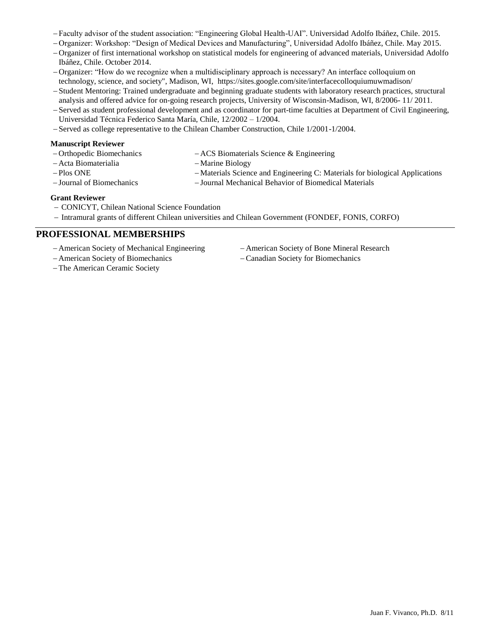- Faculty advisor of the student association: "Engineering Global Health-UAI". Universidad Adolfo Ibáñez, Chile. 2015.
- Organizer: Workshop: "Design of Medical Devices and Manufacturing", Universidad Adolfo Ibáñez, Chile. May 2015.
- Organizer of first international workshop on statistical models for engineering of advanced materials, Universidad Adolfo Ibáñez, Chile. October 2014.
- Organizer: "How do we recognize when a multidisciplinary approach is necessary? An interface colloquium on technology, science, and society", Madison, WI, https://sites.google.com/site/interfacecolloquiumuwmadison/
- -Student Mentoring: Trained undergraduate and beginning graduate students with laboratory research practices, structural analysis and offered advice for on-going research projects, University of Wisconsin-Madison, WI, 8/2006- 11/ 2011.
- -Served as student professional development and as coordinator for part-time faculties at Department of Civil Engineering, Universidad Técnica Federico Santa María, Chile, 12/2002 – 1/2004.
- -Served as college representative to the Chilean Chamber Construction, Chile 1/2001-1/2004.

#### **Manuscript Reviewer**

- Orthopedic Biomechanics ACS Biomaterials Science & Engineering
- Acta Biomaterialia
- Plos ONE
- Journal of Biomechanics
- -Marine Biology
- -Materials Science and Engineering C: Materials for biological Applications Journal Mechanical Behavior of Biomedical Materials
- 

#### **Grant Reviewer**

- CONICYT, Chilean National Science Foundation
- $-$  Intramural grants of different Chilean universities and Chilean Government (FONDEF, FONIS, CORFO)

#### **PROFESSIONAL MEMBERSHIPS**

- American Society of Mechanical Engineering
- American Society of Biomechanics
- American Society of Bone Mineral Research
- Canadian Society for Biomechanics

The American Ceramic Society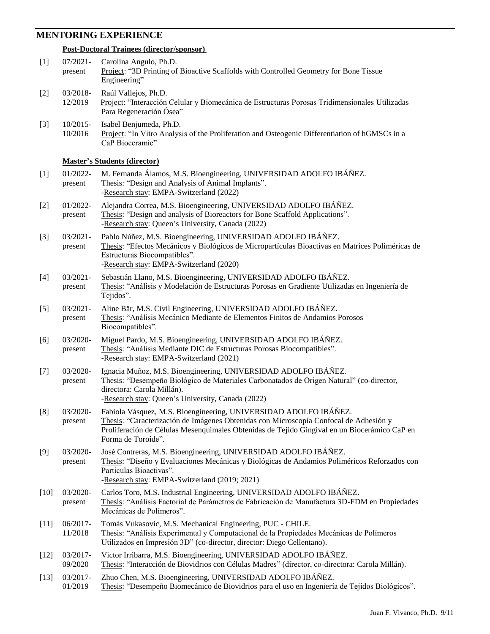### **MENTORING EXPERIENCE**

#### **Post-Doctoral Trainees (director/sponsor)**

| $[1]$  | 07/2021-<br>present    | Carolina Angulo, Ph.D.<br>Project: "3D Printing of Bioactive Scaffolds with Controlled Geometry for Bone Tissue<br>Engineering"                                                                                                                                                 |
|--------|------------------------|---------------------------------------------------------------------------------------------------------------------------------------------------------------------------------------------------------------------------------------------------------------------------------|
| $[2]$  | 03/2018-<br>12/2019    | Raúl Vallejos, Ph.D.<br>Project: "Interacción Celular y Biomecánica de Estructuras Porosas Tridimensionales Utilizadas<br>Para Regeneración Ósea"                                                                                                                               |
| $[3]$  | 10/2015-<br>10/2016    | Isabel Benjumeda, Ph.D.<br>Project: "In Vitro Analysis of the Proliferation and Osteogenic Differentiation of hGMSCs in a<br>CaP Bioceramic"                                                                                                                                    |
|        |                        | <b>Master's Students (director)</b>                                                                                                                                                                                                                                             |
| $[1]$  | 01/2022-<br>present    | M. Fernanda Álamos, M.S. Bioengineering, UNIVERSIDAD ADOLFO IBÁÑEZ.<br>Thesis: "Design and Analysis of Animal Implants".<br>-Research stay: EMPA-Switzerland (2022)                                                                                                             |
| $[2]$  | 01/2022-<br>present    | Alejandra Correa, M.S. Bioengineering, UNIVERSIDAD ADOLFO IBÁÑEZ.<br>Thesis: "Design and analysis of Bioreactors for Bone Scaffold Applications".<br>-Research stay: Queen's University, Canada (2022)                                                                          |
| $[3]$  | $03/2021 -$<br>present | Pablo Núñez, M.S. Bioengineering, UNIVERSIDAD ADOLFO IBÁÑEZ.<br>Thesis: "Efectos Mecánicos y Biológicos de Micropartículas Bioactivas en Matrices Poliméricas de<br>Estructuras Biocompatibles".<br>-Research stay: EMPA-Switzerland (2020)                                     |
| $[4]$  | $03/2021 -$<br>present | Sebastián Llano, M.S. Bioengineering, UNIVERSIDAD ADOLFO IBÁÑEZ.<br>Thesis: "Análisis y Modelación de Estructuras Porosas en Gradiente Utilizadas en Ingeniería de<br>Tejidos".                                                                                                 |
| $[5]$  | 03/2021-<br>present    | Aline Bär, M.S. Civil Engineering, UNIVERSIDAD ADOLFO IBÁÑEZ.<br>Thesis: "Análisis Mecánico Mediante de Elementos Finitos de Andamios Porosos<br>Biocompatibles".                                                                                                               |
| [6]    | 03/2020-<br>present    | Miguel Pardo, M.S. Bioengineering, UNIVERSIDAD ADOLFO IBÁÑEZ.<br>Thesis: "Análisis Mediante DIC de Estructuras Porosas Biocompatibles".<br>-Research stay: EMPA-Switzerland (2021)                                                                                              |
| $[7]$  | 03/2020-<br>present    | Ignacia Muñoz, M.S. Bioengineering, UNIVERSIDAD ADOLFO IBÁÑEZ.<br>Thesis: "Desempeño Biológico de Materiales Carbonatados de Origen Natural" (co-director,<br>directora: Carola Millán).                                                                                        |
|        |                        | -Research stay: Queen's University, Canada (2022)                                                                                                                                                                                                                               |
| [8]    | 03/2020-<br>present    | Fabiola Vásquez, M.S. Bioengineering, UNIVERSIDAD ADOLFO IBÁÑEZ.<br>Thesis: "Caracterización de Imágenes Obtenidas con Microscopía Confocal de Adhesión y<br>Proliferación de Células Mesenquimales Obtenidas de Tejido Gingival en un Biocerámico CaP en<br>Forma de Toroide". |
| $[9]$  | 03/2020-<br>present    | José Contreras, M.S. Bioengineering, UNIVERSIDAD ADOLFO IBÁÑEZ.<br>Thesis: "Diseño y Evaluaciones Mecánicas y Biológicas de Andamios Poliméricos Reforzados con<br>Partículas Bioactivas".<br>-Research stay: EMPA-Switzerland (2019; 2021)                                     |
| $[10]$ | 03/2020-<br>present    | Carlos Toro, M.S. Industrial Engineering, UNIVERSIDAD ADOLFO IBÁÑEZ.<br>Thesis: "Análisis Factorial de Parámetros de Fabricación de Manufactura 3D-FDM en Propiedades<br>Mecánicas de Polímeros".                                                                               |
| $[11]$ | 06/2017-<br>11/2018    | Tomás Vukasovic, M.S. Mechanical Engineering, PUC - CHILE.<br>Thesis: "Análisis Experimental y Computacional de la Propiedades Mecánicas de Polímeros<br>Utilizados en Impresión 3D" (co-director, director: Diego Cellentano).                                                 |
| $[12]$ | 03/2017-<br>09/2020    | Victor Irribarra, M.S. Bioengineering, UNIVERSIDAD ADOLFO IBÁÑEZ.<br>Thesis: "Interacción de Biovidrios con Células Madres" (director, co-directora: Carola Millán).                                                                                                            |
| $[13]$ | 03/2017-<br>01/2019    | Zhuo Chen, M.S. Bioengineering, UNIVERSIDAD ADOLFO IBÁÑEZ.<br>Thesis: "Desempeño Biomecánico de Biovidrios para el uso en Ingeniería de Tejidos Biológicos".                                                                                                                    |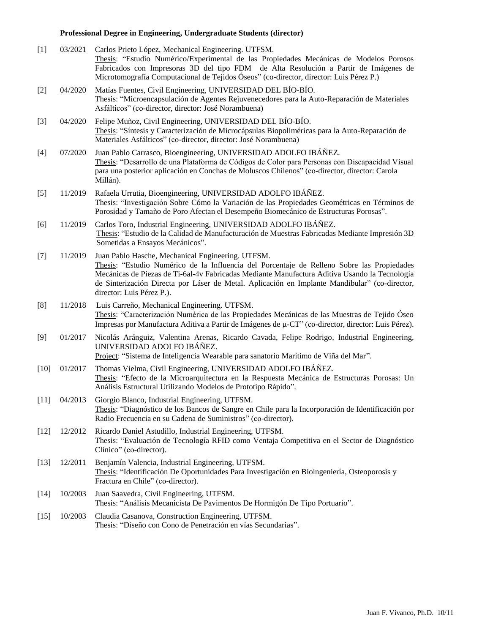## **Professional Degree in Engineering, Undergraduate Students (director)**

| $[1]$  | 03/2021 | Carlos Prieto López, Mechanical Engineering. UTFSM.<br>Thesis: "Estudio Numérico/Experimental de las Propiedades Mecánicas de Modelos Porosos<br>Fabricados con Impresoras 3D del tipo FDM de Alta Resolución a Partir de Imágenes de<br>Microtomografía Computacional de Tejidos Óseos" (co-director, director: Luis Pérez P.)                                                |
|--------|---------|--------------------------------------------------------------------------------------------------------------------------------------------------------------------------------------------------------------------------------------------------------------------------------------------------------------------------------------------------------------------------------|
| $[2]$  | 04/2020 | Matías Fuentes, Civil Engineering, UNIVERSIDAD DEL BÍO-BÍO.<br>Thesis: "Microencapsulación de Agentes Rejuvenecedores para la Auto-Reparación de Materiales<br>Asfálticos" (co-director, director: José Norambuena)                                                                                                                                                            |
| $[3]$  | 04/2020 | Felipe Muñoz, Civil Engineering, UNIVERSIDAD DEL BÍO-BÍO.<br>Thesis: "Síntesis y Caracterización de Microcápsulas Biopoliméricas para la Auto-Reparación de<br>Materiales Asfálticos" (co-director, director: José Norambuena)                                                                                                                                                 |
| $[4]$  | 07/2020 | Juan Pablo Carrasco, Bioengineering, UNIVERSIDAD ADOLFO IBÁÑEZ.<br>Thesis: "Desarrollo de una Plataforma de Códigos de Color para Personas con Discapacidad Visual<br>para una posterior aplicación en Conchas de Moluscos Chilenos" (co-director, director: Carola<br>Millán).                                                                                                |
| $[5]$  | 11/2019 | Rafaela Urrutia, Bioengineering, UNIVERSIDAD ADOLFO IBÁÑEZ.<br>Thesis: "Investigación Sobre Cómo la Variación de las Propiedades Geométricas en Términos de<br>Porosidad y Tamaño de Poro Afectan el Desempeño Biomecánico de Estructuras Porosas".                                                                                                                            |
| [6]    | 11/2019 | Carlos Toro, Industrial Engineering, UNIVERSIDAD ADOLFO IBÁÑEZ.<br>Thesis: "Estudio de la Calidad de Manufacturación de Muestras Fabricadas Mediante Impresión 3D<br>Sometidas a Ensayos Mecánicos".                                                                                                                                                                           |
| $[7]$  | 11/2019 | Juan Pablo Hasche, Mechanical Engineering. UTFSM.<br>Thesis: "Estudio Numérico de la Influencia del Porcentaje de Relleno Sobre las Propiedades<br>Mecánicas de Piezas de Ti-6al-4v Fabricadas Mediante Manufactura Aditiva Usando la Tecnología<br>de Sinterización Directa por Láser de Metal. Aplicación en Implante Mandibular" (co-director,<br>director: Luis Pérez P.). |
| [8]    | 11/2018 | Luis Carreño, Mechanical Engineering. UTFSM.<br>Thesis: "Caracterización Numérica de las Propiedades Mecánicas de las Muestras de Tejido Óseo<br>Impresas por Manufactura Aditiva a Partir de Imágenes de µ-CT" (co-director, director: Luis Pérez).                                                                                                                           |
| [9]    | 01/2017 | Nicolás Aránguiz, Valentina Arenas, Ricardo Cavada, Felipe Rodrigo, Industrial Engineering,<br>UNIVERSIDAD ADOLFO IBÁÑEZ.<br>Project: "Sistema de Inteligencia Wearable para sanatorio Marítimo de Viña del Mar".                                                                                                                                                              |
| $[10]$ | 01/2017 | Thomas Vielma, Civil Engineering, UNIVERSIDAD ADOLFO IBÁÑEZ.<br>Thesis: "Efecto de la Microarquitectura en la Respuesta Mecánica de Estructuras Porosas: Un<br>Análisis Estructural Utilizando Modelos de Prototipo Rápido".                                                                                                                                                   |
| $[11]$ | 04/2013 | Giorgio Blanco, Industrial Engineering, UTFSM.<br>Thesis: "Diagnóstico de los Bancos de Sangre en Chile para la Incorporación de Identificación por<br>Radio Frecuencia en su Cadena de Suministros" (co-director).                                                                                                                                                            |
| $[12]$ | 12/2012 | Ricardo Daniel Astudillo, Industrial Engineering, UTFSM.<br>Thesis: "Evaluación de Tecnología RFID como Ventaja Competitiva en el Sector de Diagnóstico<br>Clínico" (co-director).                                                                                                                                                                                             |
| $[13]$ | 12/2011 | Benjamín Valencia, Industrial Engineering, UTFSM.<br>Thesis: "Identificación De Oportunidades Para Investigación en Bioingeniería, Osteoporosis y<br>Fractura en Chile" (co-director).                                                                                                                                                                                         |
| $[14]$ | 10/2003 | Juan Saavedra, Civil Engineering, UTFSM.<br>Thesis: "Análisis Mecanicista De Pavimentos De Hormigón De Tipo Portuario".                                                                                                                                                                                                                                                        |
| $[15]$ | 10/2003 | Claudia Casanova, Construction Engineering, UTFSM.<br>Thesis: "Diseño con Cono de Penetración en vías Secundarias".                                                                                                                                                                                                                                                            |